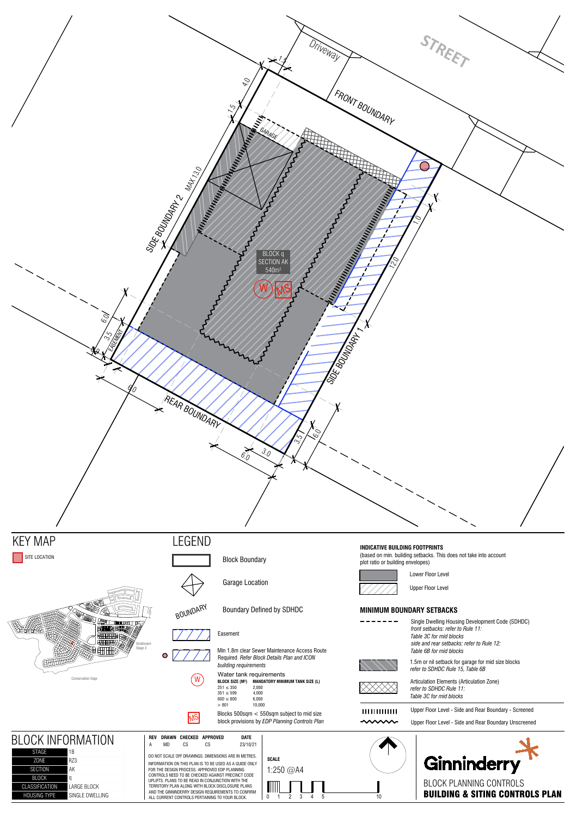